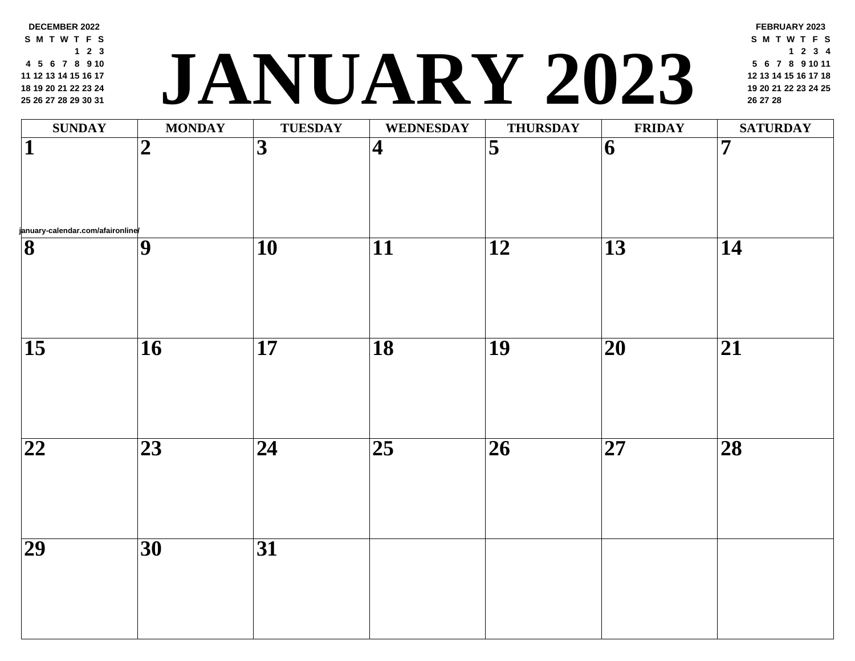**19 20 21 22 23 24 26 27 28 29 30 31 <sup>20</sup> <sup>21</sup> <sup>22</sup> <sup>23</sup> <sup>24</sup> <sup>25</sup> JANUARY 2023 <sup>26</sup> <sup>27</sup> <sup>28</sup>**  $\textbf{SUNDAY} \quad | \quad \textbf{MONDAY} \quad | \quad \textbf{TUESDAY} \quad | \quad \textbf{WEDNESDAY} \quad | \quad \textbf{THURSDAY} \quad | \quad \textbf{FRII}$ **january-calendar.com/afaironline/ 2 3 4 5 6 7 9 10 11 12 13 14 16 17 18 19 20 21 23 24 25 26 27 28 30 31**

**DECEMBER 2022 S M T [W](http://january-calendar.com/afaironline/) T F S**

 **5 6 7 8 9 10 12 13 14 15 16 17**

**2 3**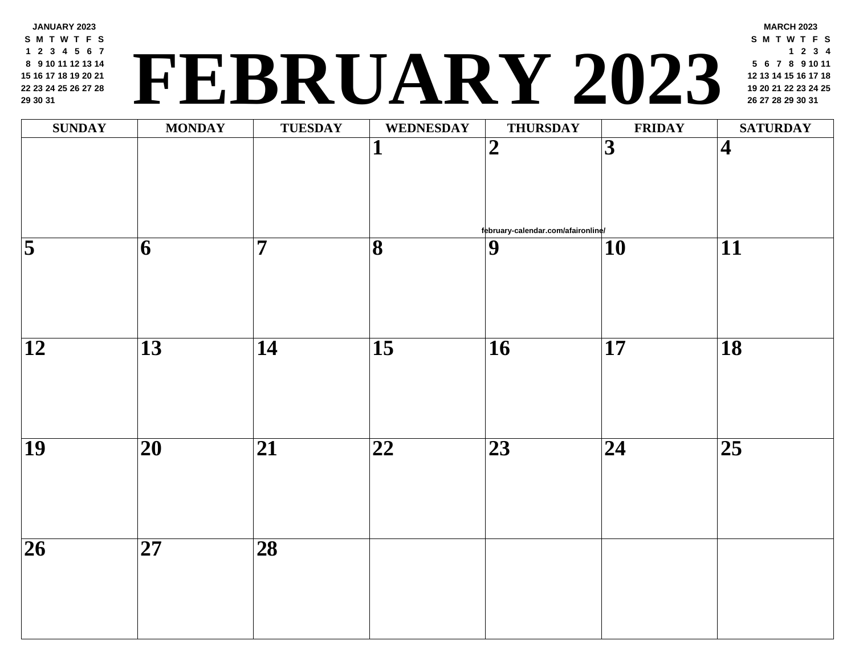## **<sup>19</sup> <sup>20</sup> <sup>21</sup> <sup>22</sup> <sup>23</sup> <sup>24</sup> <sup>25</sup> FEBRUARY 2023 <sup>26</sup> <sup>27</sup> <sup>28</sup> <sup>29</sup> <sup>30</sup> <sup>31</sup>**

| <b>SUNDAY</b>       | <b>MONDAY</b>              | <b>TUESDAY</b>          | <b>WEDNESDAY</b>        | <b>THURSDAY</b>                                      | <b>FRII</b>     |
|---------------------|----------------------------|-------------------------|-------------------------|------------------------------------------------------|-----------------|
|                     |                            |                         | $\mathbf{1}$            | $\overline{2}$                                       | $\overline{3}$  |
| $\overline{\bf{5}}$ | $\overline{\mathbf{6}}$    | $\overline{\mathbf{7}}$ | $\overline{\mathbf{8}}$ | february-calendar.com/afaironline/<br>$\overline{9}$ | $\overline{10}$ |
|                     |                            |                         |                         |                                                      |                 |
| $\overline{12}$     | $\overline{13}$            | $\overline{14}$         | $\overline{15}$         | $\overline{16}$                                      | $\overline{17}$ |
| $\overline{19}$     | $\overline{\mathbf{20}}$   | $\overline{21}$         | $\overline{22}$         | $\overline{23}$                                      | $\overline{24}$ |
| $\overline{26}$     | $\overline{\overline{27}}$ | $\overline{\bf 28}$     |                         |                                                      |                 |
|                     |                            |                         |                         |                                                      |                 |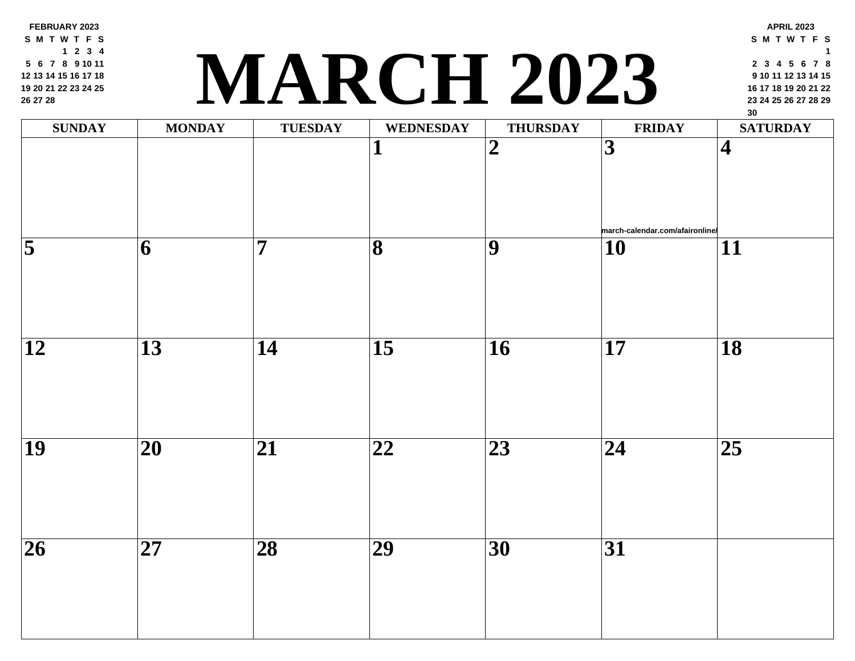**FEBRUARY 2023 S M T W T F S 2 3 4 6 7 8 9 10 11 13 14 15 16 17 18 20 21 22 23 24 25 27 28**

## **<sup>23</sup> <sup>24</sup> <sup>25</sup> <sup>26</sup> <sup>27</sup> <sup>28</sup> <sup>29</sup> MARCH 2023**

| <b>SUNDAY</b>      | <b>MONDAY</b>            | <b>TUESDAY</b>  | <b>WEDNESDAY</b>             | <b>THURSDAY</b>          | FRII                     |
|--------------------|--------------------------|-----------------|------------------------------|--------------------------|--------------------------|
|                    |                          |                 | $\mathbf{1}$                 | $\overline{2}$           | $\overline{3}$           |
|                    |                          |                 |                              |                          |                          |
|                    |                          |                 |                              |                          |                          |
|                    |                          |                 |                              |                          | march-calendar.          |
| $\overline{\bf 5}$ | 6                        | $\overline{7}$  | $\overline{\mathbf{8}}$      | $\overline{9}$           | $\overline{\mathbf{10}}$ |
|                    |                          |                 |                              |                          |                          |
|                    |                          |                 |                              |                          |                          |
|                    |                          |                 |                              |                          |                          |
| $\overline{12}$    | $\overline{13}$          | $\overline{14}$ | $\overline{15}$              | $\overline{\mathbf{16}}$ | $\overline{\mathbf{17}}$ |
|                    |                          |                 |                              |                          |                          |
|                    |                          |                 |                              |                          |                          |
|                    |                          |                 |                              |                          |                          |
| $\overline{19}$    | $\overline{\mathbf{20}}$ | $\overline{21}$ | $\overline{\boldsymbol{22}}$ | $\overline{23}$          | $\overline{24}$          |
|                    |                          |                 |                              |                          |                          |
|                    |                          |                 |                              |                          |                          |
|                    |                          |                 |                              |                          |                          |
| $\overline{26}$    | $\overline{27}$          | $\overline{28}$ | $\overline{29}$              | $\overline{30}$          | $\overline{31}$          |
|                    |                          |                 |                              |                          |                          |
|                    |                          |                 |                              |                          |                          |
|                    |                          |                 |                              |                          |                          |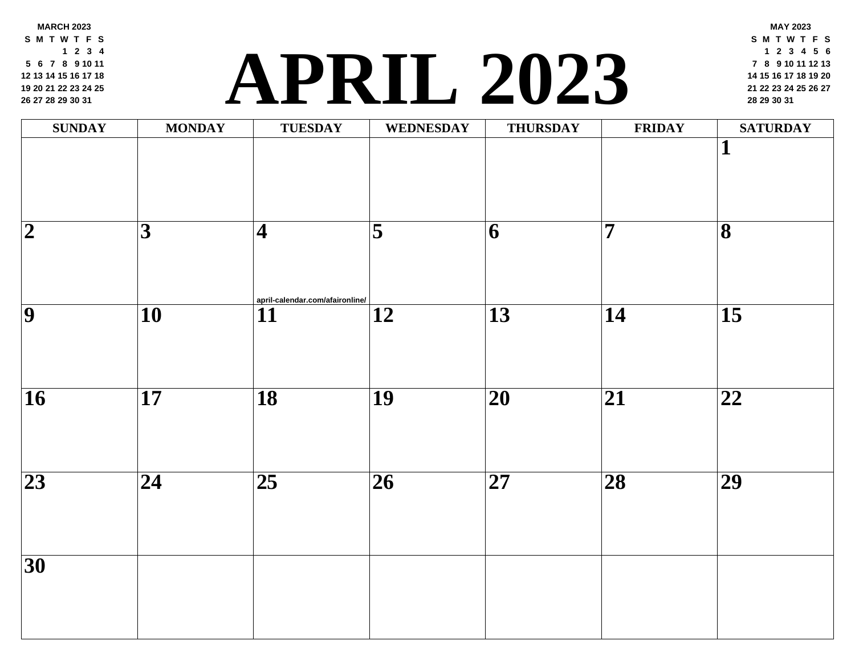**MARCH 2023 S M T W T F S 2 3 4 6 7 8 9 10 11 13 14 15 16 17 18 20 21 22 23 24 25 27 28 29 30 31**

### **<sup>21</sup> <sup>22</sup> <sup>23</sup> <sup>24</sup> <sup>25</sup> <sup>26</sup> <sup>27</sup> [APR](http://april-calendar.com/afaironline/)IL 2023 <sup>28</sup> <sup>29</sup> <sup>30</sup> <sup>31</sup>**

| <b>SUNDAY</b>           | <b>MONDAY</b>           | <b>TUESDAY</b>                        | <b>WEDNESDAY</b>        | <b>THURSDAY</b> | FRII            |
|-------------------------|-------------------------|---------------------------------------|-------------------------|-----------------|-----------------|
|                         |                         |                                       |                         |                 |                 |
| $\overline{\mathbf{2}}$ | $\overline{\mathbf{3}}$ | $\vert\mathbf{4}\vert$                | $\overline{\mathbf{5}}$ | 6               | $\overline{7}$  |
| $\overline{9}$          | $\overline{10}$         | april-calendar.com/afaironline/<br>11 | $\overline{12}$         | $\overline{13}$ | $\overline{14}$ |
| $\overline{16}$         | $\overline{17}$         | $\overline{18}$                       | $\overline{19}$         | $\overline{20}$ | $\overline{21}$ |
| $\overline{23}$         | $\overline{24}$         | $\overline{25}$                       | $\overline{26}$         | $\overline{27}$ | $\overline{28}$ |
| $\overline{30}$         |                         |                                       |                         |                 |                 |
|                         |                         |                                       |                         |                 |                 |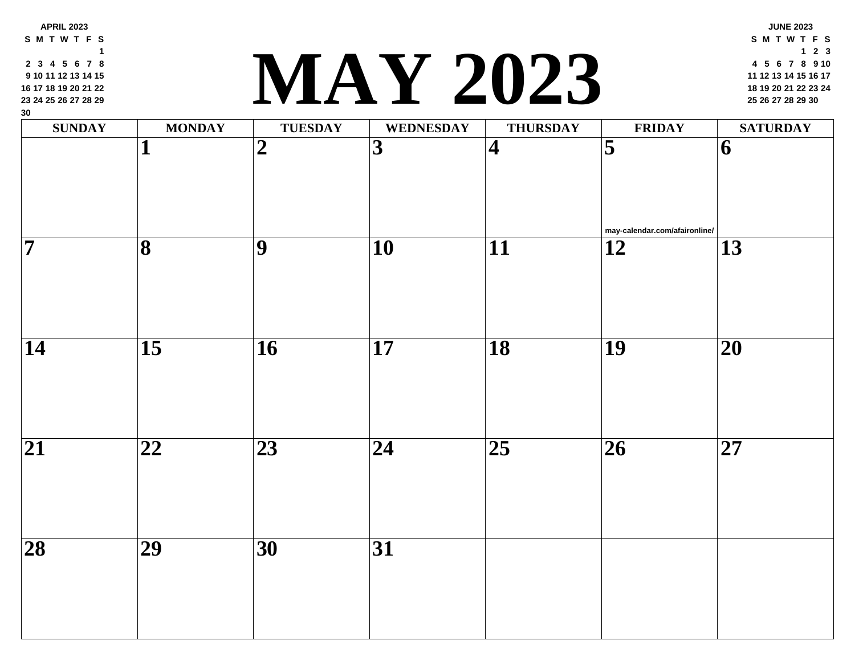| 2345678<br>9 10 11 12 13 14 15<br>16 17 18 19 20 21 22<br>23 24 25 26 27 28 29<br>30 |                         |                 | LA Y 2023               |                         |                         |
|--------------------------------------------------------------------------------------|-------------------------|-----------------|-------------------------|-------------------------|-------------------------|
| <b>SUNDAY</b>                                                                        | <b>MONDAY</b>           | <b>TUESDAY</b>  | <b>WEDNESDAY</b>        | <b>THURSDAY</b>         | <b>FRII</b>             |
|                                                                                      | 1                       | $\overline{2}$  | $\overline{\mathbf{3}}$ | $\overline{\mathbf{4}}$ | $\overline{\mathbf{5}}$ |
|                                                                                      |                         |                 |                         |                         | may-calendar.c          |
| $\overline{\bf 7}$                                                                   | $\overline{\mathbf{8}}$ | 9               | 10                      | 11                      | 12                      |
| 14                                                                                   | $\overline{15}$         | $\overline{16}$ | $\overline{17}$         | $\overline{18}$         | <b>19</b>               |
|                                                                                      |                         |                 |                         |                         |                         |
| $\overline{21}$                                                                      | 22                      | 23              | 24                      | $\overline{25}$         | 26                      |
|                                                                                      |                         |                 |                         |                         |                         |
| $\overline{28}$                                                                      | $\overline{29}$         | $\overline{30}$ | $\overline{31}$         |                         |                         |
|                                                                                      |                         |                 |                         |                         |                         |

**3 4 5 6 7 8**

**APRIL 2023 S M T W T F S**

#### **<sup>18</sup> <sup>19</sup> <sup>20</sup> <sup>21</sup> <sup>22</sup> <sup>23</sup> <sup>24</sup> MAY 2023 <sup>25</sup> <sup>26</sup> <sup>27</sup> <sup>28</sup> <sup>29</sup> <sup>30</sup>**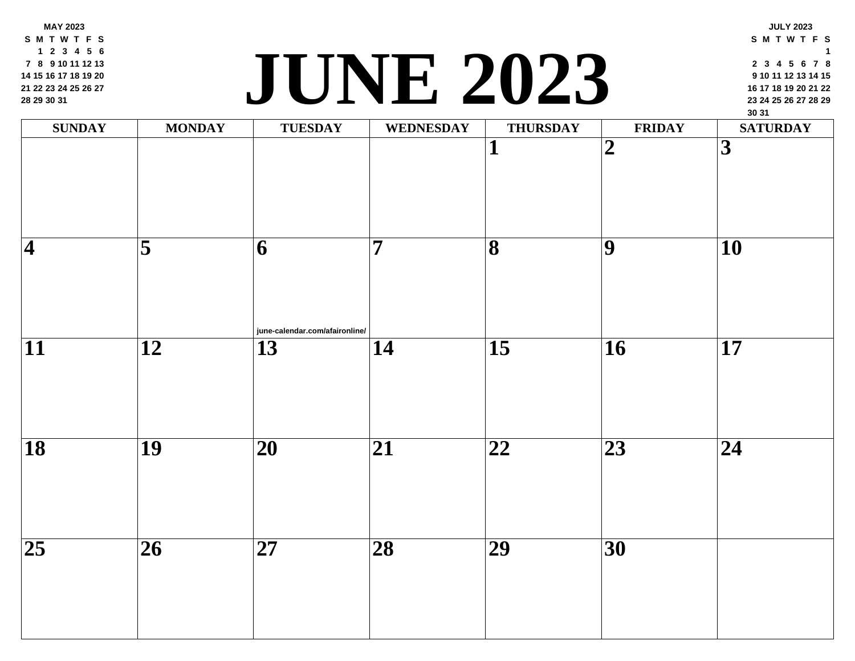**MAY 2023 S M T W T F S 2 3 4 5 6 8 9 10 11 12 13 15 16 17 18 19 20 22 23 24 25 26 27 29 30 31**

### **<sup>23</sup> <sup>24</sup> <sup>25</sup> <sup>26</sup> <sup>27</sup> <sup>28</sup> <sup>29</sup> JUNE 2023**

| $\mathbf{SUNDAY}$       | <b>MONDAY</b>           | <b>TUESDAY</b>                      | <b>WEDNESDAY</b> | <b>THURSDAY</b>              | FRII                    |
|-------------------------|-------------------------|-------------------------------------|------------------|------------------------------|-------------------------|
|                         |                         |                                     |                  | 1                            | $\overline{\mathbf{2}}$ |
| $\overline{\mathbf{4}}$ | $\overline{\mathbf{5}}$ | 6<br>june-calendar.com/afaironline/ | $\overline{7}$   | $\overline{\mathbf{8}}$      | $\overline{9}$          |
| $\overline{11}$         | $\overline{12}$         | $\overline{13}$                     | $\overline{14}$  | $\overline{15}$              | $\overline{16}$         |
| $\overline{18}$         | $\overline{19}$         | $\overline{20}$                     | $\overline{21}$  | $\overline{\boldsymbol{22}}$ | $\overline{23}$         |
| $\overline{25}$         | $\overline{26}$         | $\overline{27}$                     | $\overline{28}$  | $\overline{29}$              | $\overline{30}$         |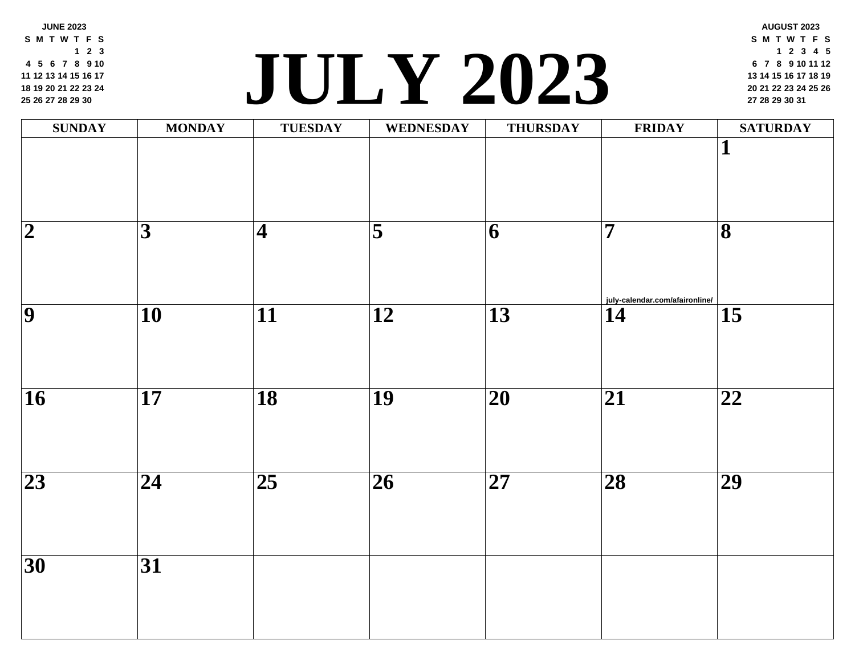**JUNE 2023 S M T W T F S 2 3 5 6 7 8 9 10 12 13 14 15 16 17 19 20 21 22 23 24 26 27 28 29 30**

#### **<sup>20</sup> <sup>21</sup> <sup>22</sup> <sup>23</sup> <sup>24</sup> <sup>25</sup> <sup>26</sup> JULY 202[3](http://july-calendar.com/afaironline/) <sup>27</sup> <sup>28</sup> <sup>29</sup> <sup>30</sup> <sup>31</sup>**

| <b>SUNDAY</b>           | <b>MONDAY</b>           | <b>TUESDAY</b>          | WEDNESDAY               | <b>THURSDAY</b> | FRII                           |
|-------------------------|-------------------------|-------------------------|-------------------------|-----------------|--------------------------------|
|                         |                         |                         |                         |                 |                                |
|                         |                         |                         |                         |                 |                                |
| $\overline{\mathbf{2}}$ | $\overline{\mathbf{3}}$ | $\overline{\mathbf{4}}$ | $\overline{\mathbf{5}}$ | 6               | $\overline{\mathbf{7}}$        |
|                         |                         |                         |                         |                 |                                |
| $\overline{9}$          |                         |                         |                         |                 | july-calendar.com<br>$\bf{14}$ |
|                         | $\overline{10}$         | $\overline{11}$         | $\overline{12}$         | $\overline{13}$ |                                |
|                         |                         |                         |                         |                 |                                |
| $\overline{16}$         | $\overline{17}$         | $\overline{18}$         | $\overline{19}$         | $\overline{20}$ | $\overline{21}$                |
|                         |                         |                         |                         |                 |                                |
| $\overline{23}$         | $\overline{24}$         | $\overline{25}$         | $\overline{26}$         | $\overline{27}$ | $\overline{28}$                |
|                         |                         |                         |                         |                 |                                |
|                         |                         |                         |                         |                 |                                |
| $\overline{30}$         | $\overline{31}$         |                         |                         |                 |                                |
|                         |                         |                         |                         |                 |                                |
|                         |                         |                         |                         |                 |                                |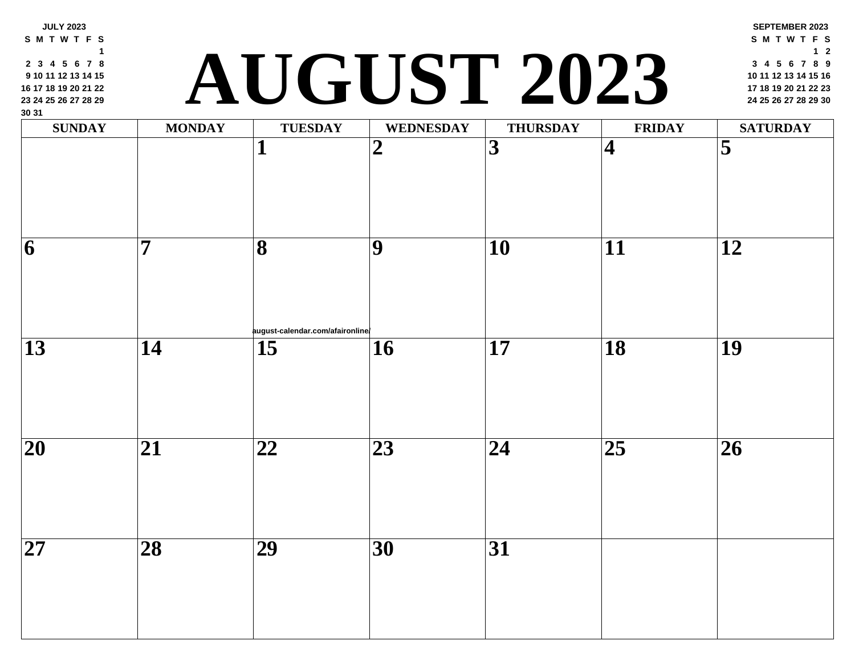| <b>SUNDAY</b>   | <b>MONDAY</b>   | <b>TUESDAY</b><br>1              | <b>WEDNESDAY</b><br>$\boldsymbol{2}$ | <b>THURSDAY</b><br>3 | <b>FRII</b><br>$\overline{\mathbf{4}}$ |
|-----------------|-----------------|----------------------------------|--------------------------------------|----------------------|----------------------------------------|
|                 |                 |                                  |                                      |                      |                                        |
| 6               | 7               | 8                                | 9                                    | 10                   | 11                                     |
|                 |                 | august-calendar.com/afaironline/ |                                      |                      |                                        |
| 13              | 14              | 15                               | 16                                   | 17                   | 18                                     |
| 20              | 21              | 22                               | 23                                   | 24                   | 25                                     |
| $\overline{27}$ | $\overline{28}$ | $\overline{29}$                  | $\overline{30}$                      | 31                   |                                        |

**JULY 2023 S M T W T F S**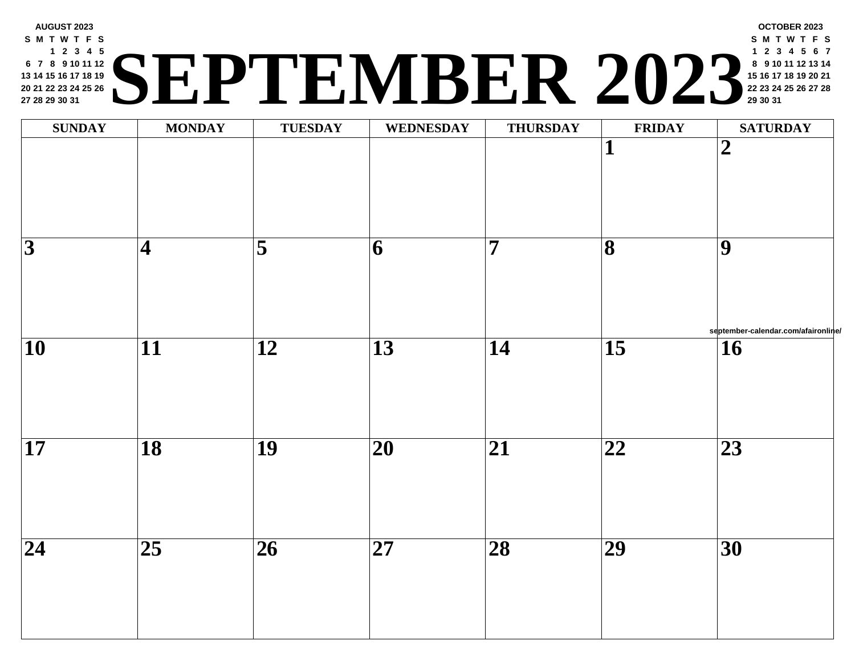#### **AUGUST 2023 S M T W T F S 2 3 4 5 7 8 9 10 11 12 14 15 16 17 18 19 21 22 23 24 25 26 28 29 30 31 <sup>22</sup> <sup>23</sup> <sup>24</sup> <sup>25</sup> <sup>26</sup> <sup>27</sup> <sup>28</sup> SEPTEMBER 2023 <sup>29</sup> <sup>30</sup> <sup>31</sup>**

| $\textbf{SUNDAY}$ | <b>MONDAY</b>            | <b>TUESDAY</b>          | <b>WEDNESDAY</b>         | <b>THURSDAY</b> | <b>FRII</b>                  |
|-------------------|--------------------------|-------------------------|--------------------------|-----------------|------------------------------|
|                   |                          |                         |                          |                 | $\mathbf{1}$                 |
| $\overline{3}$    | $\overline{\mathcal{A}}$ | $\overline{\mathbf{5}}$ | $\overline{\mathbf{6}}$  | $\overline{7}$  | $\overline{\mathbf{8}}$      |
| $\overline{10}$   | $\overline{11}$          | $\overline{12}$         | $\overline{13}$          | $\overline{14}$ | $\overline{15}$              |
| $\overline{17}$   | $\overline{18}$          | $\overline{19}$         | $\overline{\mathbf{20}}$ | $\overline{21}$ | $\overline{\boldsymbol{22}}$ |
| $\overline{24}$   | $\overline{25}$          | $\overline{26}$         | $\overline{\mathbf{27}}$ | $\overline{28}$ | $\overline{29}$              |
|                   |                          |                         |                          |                 |                              |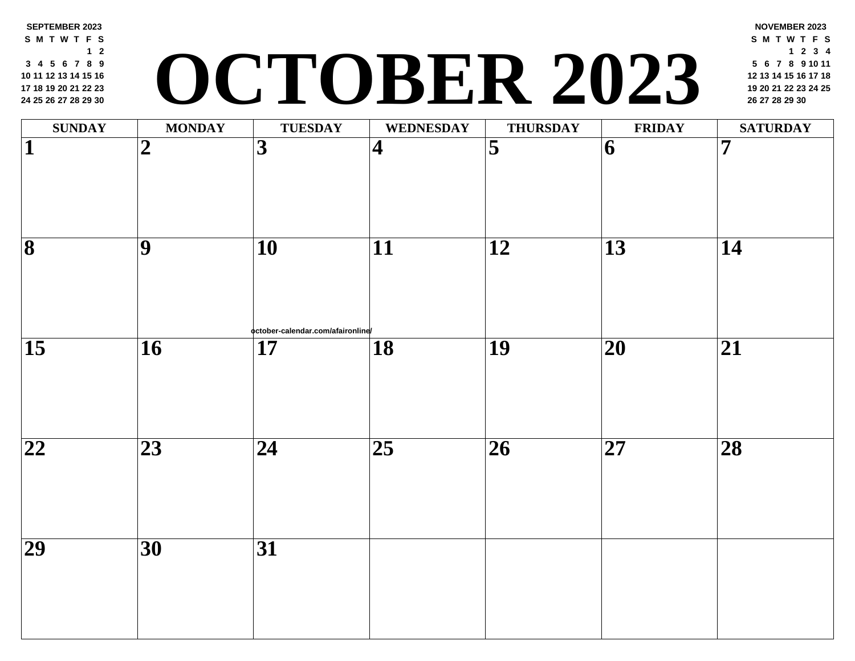#### **SEPTEMBER 2023 S M T W T F S 2 4 5 6 7 8 9 11 12 13 14 15 16 18 19 20 21 22 23 25 26 27 28 29 30 <sup>19</sup> <sup>20</sup> <sup>21</sup> <sup>22</sup> <sup>23</sup> <sup>24</sup> <sup>25</sup> OCTOBER 2023 <sup>26</sup> <sup>27</sup> <sup>28</sup> <sup>29</sup> <sup>30</sup>**

| <b>SUNDAY</b>           | <b>MONDAY</b>   | <b>TUESDAY</b>                                       | <b>WEDNESDAY</b>        | <b>THURSDAY</b>         | FRII                     |
|-------------------------|-----------------|------------------------------------------------------|-------------------------|-------------------------|--------------------------|
| $\overline{\mathbf{1}}$ | $\overline{2}$  | $\overline{\mathbf{3}}$                              | $\overline{\mathbf{4}}$ | $\overline{\mathbf{5}}$ | $\overline{6}$           |
| $\overline{\mathbf{8}}$ | $\overline{9}$  | $\overline{10}$                                      | $\overline{11}$         | $\overline{12}$         | $\overline{13}$          |
| $\overline{15}$         | $\overline{16}$ | october-calendar.com/afaironline/<br>$\overline{17}$ | $\overline{18}$         | $\overline{19}$         | $\overline{20}$          |
| $\overline{22}$         | $\overline{23}$ | $\overline{24}$                                      | $\overline{25}$         | $\overline{26}$         | $\overline{\mathbf{27}}$ |
| $\overline{29}$         | $\overline{30}$ | $\overline{31}$                                      |                         |                         |                          |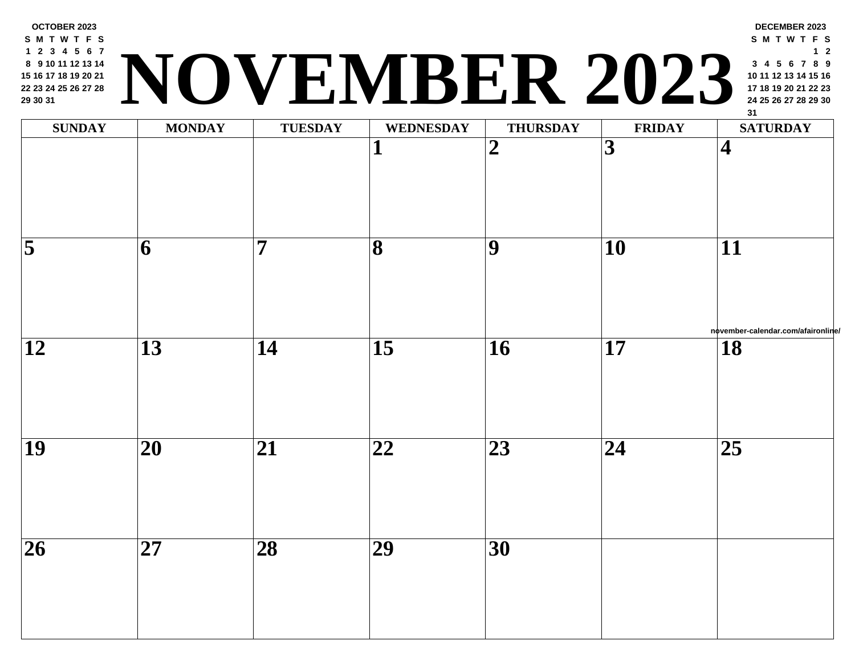

| <b>SUNDAY</b>                      | <b>MONDAY</b>            | <b>TUESDAY</b>  | <b>WEDNESDAY</b>             | <b>THURSDAY</b>         | FRII            |
|------------------------------------|--------------------------|-----------------|------------------------------|-------------------------|-----------------|
|                                    |                          |                 | $\mathbf{1}$                 | $\overline{\mathbf{2}}$ | $\overline{3}$  |
| $\overline{\overline{\mathbf{5}}}$ | 6                        | $\overline{7}$  | $\overline{\mathbf{8}}$      | $\overline{9}$          | $\overline{10}$ |
| $\overline{12}$                    | $\overline{13}$          | $\overline{14}$ | $\overline{15}$              | $\overline{16}$         | $\overline{17}$ |
| $\overline{19}$                    | $\overline{20}$          | $\overline{21}$ | $\overline{\boldsymbol{22}}$ | $\overline{23}$         | $\overline{24}$ |
| $\overline{26}$                    | $\overline{\mathbf{27}}$ | $\overline{28}$ | $\overline{29}$              | $\overline{30}$         |                 |